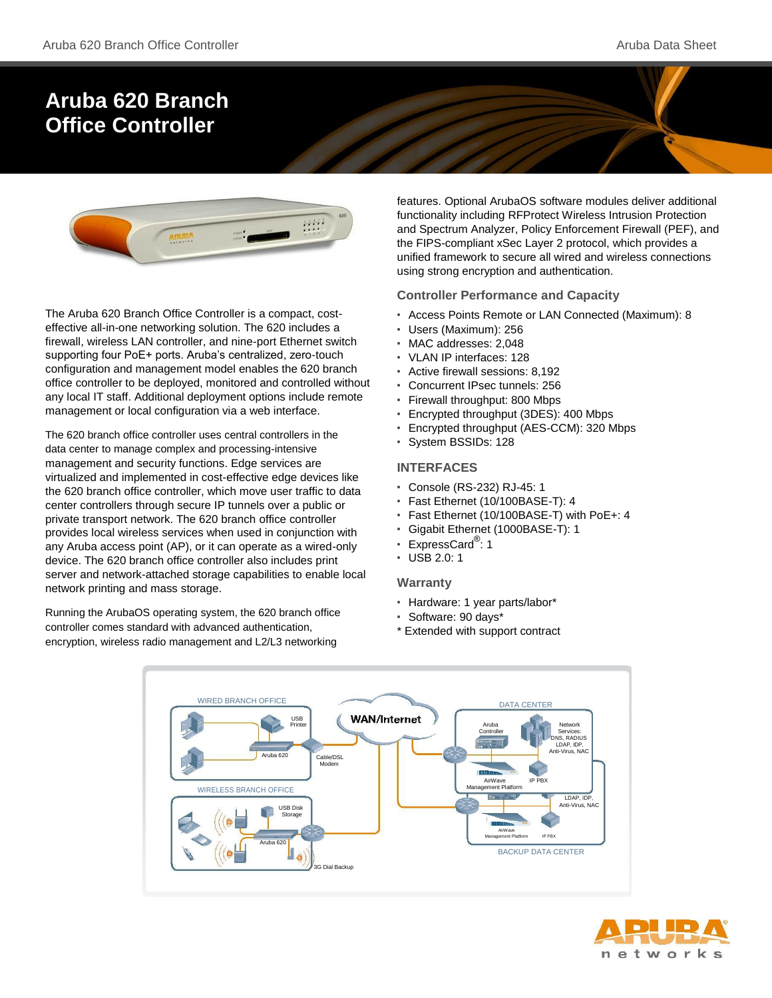# **Aruba 620 Branch Office Controller**



The Aruba 620 Branch Office Controller is a compact, costeffective all-in-one networking solution. The 620 includes a firewall, wireless LAN controller, and nine-port Ethernet switch supporting four PoE+ ports. Aruba's centralized, zero-touch configuration and management model enables the 620 branch office controller to be deployed, monitored and controlled without any local IT staff. Additional deployment options include remote management or local configuration via a web interface.

The 620 branch office controller uses central controllers in the data center to manage complex and processing-intensive management and security functions. Edge services are virtualized and implemented in cost-effective edge devices like the 620 branch office controller, which move user traffic to data center controllers through secure IP tunnels over a public or private transport network. The 620 branch office controller provides local wireless services when used in conjunction with any Aruba access point (AP), or it can operate as a wired-only device. The 620 branch office controller also includes print server and network-attached storage capabilities to enable local network printing and mass storage.

Running the ArubaOS operating system, the 620 branch office controller comes standard with advanced authentication, encryption, wireless radio management and L2/L3 networking

features. Optional ArubaOS software modules deliver additional functionality including RFProtect Wireless Intrusion Protection and Spectrum Analyzer, Policy Enforcement Firewall (PEF), and the FIPS-compliant xSec Layer 2 protocol, which provides a unified framework to secure all wired and wireless connections using strong encryption and authentication.

#### **Controller Performance and Capacity**

- Access Points Remote or LAN Connected (Maximum): 8
- Users (Maximum): 256
- MAC addresses: 2,048
- VLAN IP interfaces: 128
- Active firewall sessions: 8,192
- Concurrent IPsec tunnels: 256
- Firewall throughput: 800 Mbps
- Encrypted throughput (3DES): 400 Mbps
- Encrypted throughput (AES-CCM): 320 Mbps
- System BSSIDs: 128

#### **INTERFACES**

- Console (RS-232) RJ-45: 1
- Fast Ethernet (10/100BASE-T): 4
- Fast Ethernet (10/100BASE-T) with PoE+: 4
- Gigabit Ethernet (1000BASE-T): 1
- ExpressCard® : 1
- USB 2.0: 1

#### **Warranty**

- Hardware: 1 year parts/labor\*
- Software: 90 days\*
- Extended with support contract



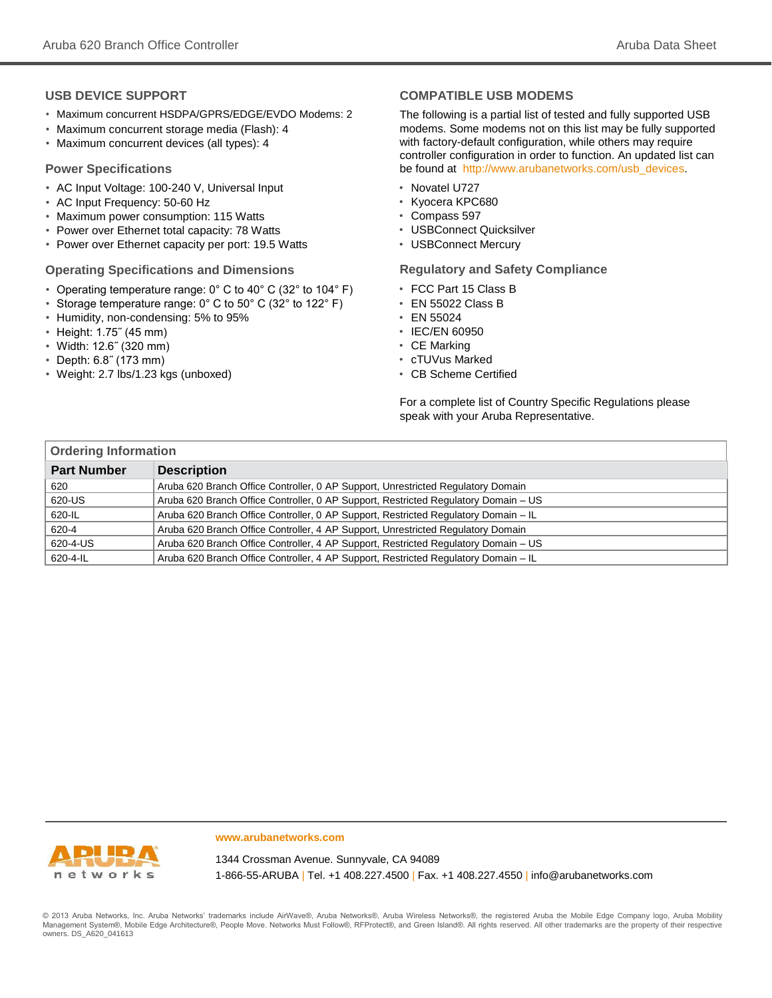#### **USB DEVICE SUPPORT**

- Maximum concurrent HSDPA/GPRS/EDGE/EVDO Modems: 2
- Maximum concurrent storage media (Flash): 4
- Maximum concurrent devices (all types): 4

#### **Power Specifications**

- AC Input Voltage: 100-240 V, Universal Input
- AC Input Frequency: 50-60 Hz
- Maximum power consumption: 115 Watts
- Power over Ethernet total capacity: 78 Watts
- Power over Ethernet capacity per port: 19.5 Watts

#### **Operating Specifications and Dimensions**

- Operating temperature range: 0° C to 40° C (32° to 104° F)
- Storage temperature range: 0° C to 50° C (32° to 122° F)
- Humidity, non-condensing: 5% to 95%
- Height: 1.75˝ (45 mm)
- Width: 12.6˝ (320 mm)
- Depth: 6.8˝ (173 mm)
- Weight: 2.7 lbs/1.23 kgs (unboxed)

#### **COMPATIBLE USB MODEMS**

The following is a partial list of tested and fully supported USB modems. Some modems not on this list may be fully supported with factory-default configuration, while others may require controller configuration in order to function. An updated list can be found a[t http://www.arubanetworks.com/usb\\_devices](http://www.arubanetworks.com/usb_devices).

- Novatel U727
- Kyocera KPC680
- Compass 597
- USBConnect Quicksilver
- USBConnect Mercury

#### **Regulatory and Safety Compliance**

- FCC Part 15 Class B
- EN 55022 Class B
- EN 55024
- IEC/EN 60950
- CE Marking
- cTUVus Marked
- CB Scheme Certified

For a complete list of Country Specific Regulations please speak with your Aruba Representative.

| <b>Ordering Information</b> |                                                                                     |  |
|-----------------------------|-------------------------------------------------------------------------------------|--|
| <b>Part Number</b>          | <b>Description</b>                                                                  |  |
| 620                         | Aruba 620 Branch Office Controller, 0 AP Support, Unrestricted Regulatory Domain    |  |
| 620-US                      | Aruba 620 Branch Office Controller, 0 AP Support, Restricted Regulatory Domain – US |  |
| 620-IL                      | Aruba 620 Branch Office Controller, 0 AP Support, Restricted Regulatory Domain - IL |  |
| 620-4                       | Aruba 620 Branch Office Controller, 4 AP Support, Unrestricted Regulatory Domain    |  |
| 620-4-US                    | Aruba 620 Branch Office Controller, 4 AP Support, Restricted Regulatory Domain - US |  |
| 620-4-IL                    | Aruba 620 Branch Office Controller, 4 AP Support, Restricted Regulatory Domain - IL |  |



#### **www.arubanetworks.com**

1344 Crossman Avenue. Sunnyvale, CA 94089 1-866-55-ARUBA | Tel. +1 408.227.4500 | Fax. +1 408.227.4550 | info@arubanetworks.com

© 2013 Aruba Networks, Inc. Aruba Networks' trademarks include AirWave®, Aruba Networks®, Aruba Wireless Networks®, the registered Aruba the Mobile Edge Company logo, Aruba Mobility Management System®, Mobile Edge Architecture®, People Move. Networks Must Follow®, RFProtect®, and Green Island®. All rights reserved. All other trademarks are the property of their respective owners. DS\_A620\_041613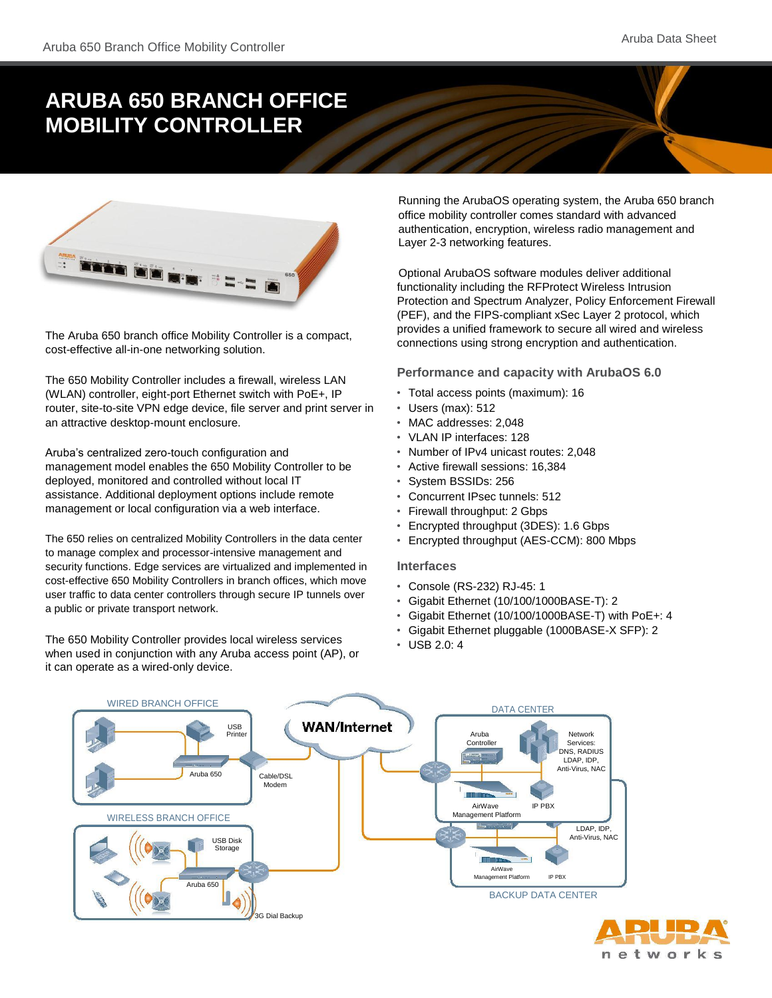# **ARUBA 650 BRANCH OFFICE MOBILITY CONTROLLER**



The Aruba 650 branch office Mobility Controller is a compact, cost-effective all-in-one networking solution.

The 650 Mobility Controller includes a firewall, wireless LAN (WLAN) controller, eight-port Ethernet switch with PoE+, IP router, site-to-site VPN edge device, file server and print server in an attractive desktop-mount enclosure.

Aruba's centralized zero-touch configuration and management model enables the 650 Mobility Controller to be deployed, monitored and controlled without local IT assistance. Additional deployment options include remote management or local configuration via a web interface.

The 650 relies on centralized Mobility Controllers in the data center to manage complex and processor-intensive management and security functions. Edge services are virtualized and implemented in cost-effective 650 Mobility Controllers in branch offices, which move user traffic to data center controllers through secure IP tunnels over a public or private transport network.

The 650 Mobility Controller provides local wireless services when used in conjunction with any Aruba access point (AP), or it can operate as a wired-only device.

Running the ArubaOS operating system, the Aruba 650 branch office mobility controller comes standard with advanced authentication, encryption, wireless radio management and Layer 2-3 networking features.

Optional ArubaOS software modules deliver additional functionality including the RFProtect Wireless Intrusion Protection and Spectrum Analyzer, Policy Enforcement Firewall (PEF), and the FIPS-compliant xSec Layer 2 protocol, which provides a unified framework to secure all wired and wireless connections using strong encryption and authentication.

#### **Performance and capacity with ArubaOS 6.0**

- Total access points (maximum): 16
- Users (max): 512
- MAC addresses: 2,048
- VLAN IP interfaces: 128
- Number of IPv4 unicast routes: 2,048
- Active firewall sessions: 16,384
- System BSSIDs: 256
- Concurrent IPsec tunnels: 512
- Firewall throughput: 2 Gbps
- Encrypted throughput (3DES): 1.6 Gbps
- Encrypted throughput (AES-CCM): 800 Mbps

#### **Interfaces**

- Console (RS-232) RJ-45: 1
- Gigabit Ethernet (10/100/1000BASE-T): 2
- Gigabit Ethernet (10/100/1000BASE-T) with PoE+: 4
- Gigabit Ethernet pluggable (1000BASE-X SFP): 2
- USB 2.0: 4



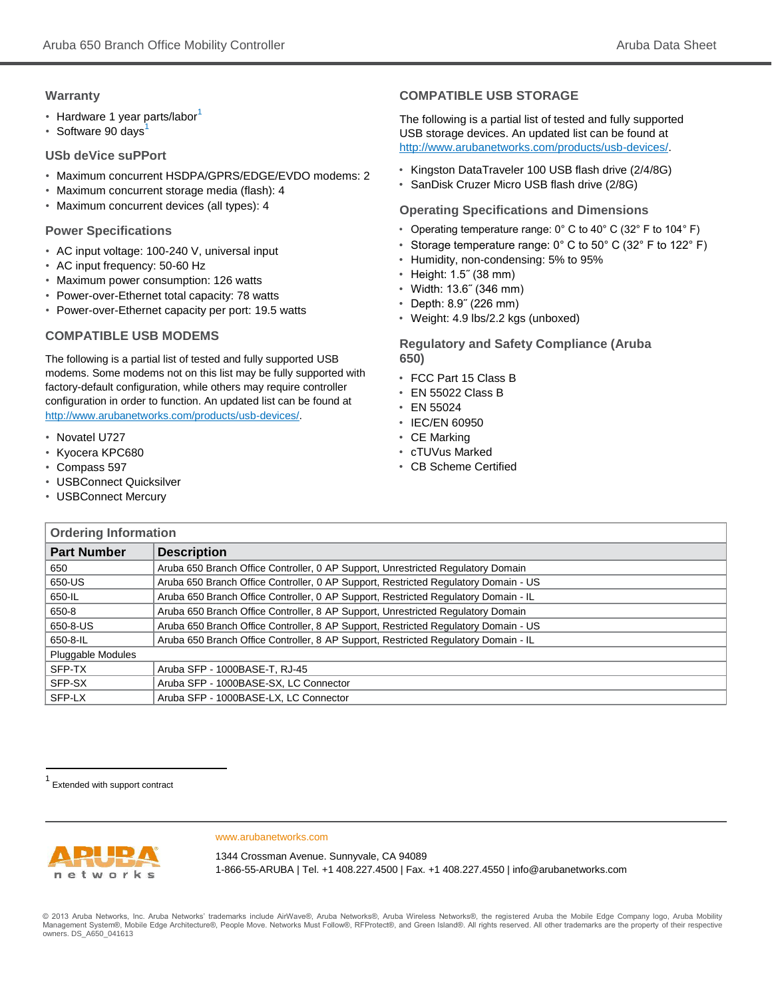#### **Warranty**

- Hardware 1 year parts/labor<sup>1</sup>
- Software 90 days

#### **USb deVice suPPort**

- Maximum concurrent HSDPA/GPRS/EDGE/EVDO modems: 2
- Maximum concurrent storage media (flash): 4
- Maximum concurrent devices (all types): 4

#### **Power Specifications**

- AC input voltage: 100-240 V, universal input
- AC input frequency: 50-60 Hz
- Maximum power consumption: 126 watts
- Power-over-Ethernet total capacity: 78 watts
- Power-over-Ethernet capacity per port: 19.5 watts

#### **COMPATIBLE USB MODEMS**

The following is a partial list of tested and fully supported USB modems. Some modems not on this list may be fully supported with factory-default configuration, while others may require controller configuration in order to function. An updated list can be found at <http://www.arubanetworks.com/products/usb-devices/>.

- Novatel U727
- Kyocera KPC680
- Compass 597
- USBConnect Quicksilver
- USBConnect Mercury

#### **COMPATIBLE USB STORAGE**

The following is a partial list of tested and fully supported USB storage devices. An updated list can be found a[t](http://www.arubanetworks.com/products/usb-devices/)  <http://www.arubanetworks.com/products/usb-devices/>.

- Kingston DataTraveler 100 USB flash drive (2/4/8G)
- SanDisk Cruzer Micro USB flash drive (2/8G)

#### **Operating Specifications and Dimensions**

- Operating temperature range:  $0^{\circ}$  C to 40° C (32° F to 104° F)
- Storage temperature range:  $0^{\circ}$  C to  $50^{\circ}$  C (32 $^{\circ}$  F to 122 $^{\circ}$  F)
- Humidity, non-condensing: 5% to 95%
- Height: 1.5˝ (38 mm)
- Width: 13.6˝ (346 mm)
- Depth: 8.9˝ (226 mm)
- Weight: 4.9 lbs/2.2 kgs (unboxed)

**Regulatory and Safety Compliance (Aruba 650)**

- FCC Part 15 Class B
- EN 55022 Class B
- EN 55024
- IEC/EN 60950
- CE Marking
- cTUVus Marked
- CB Scheme Certified

| <b>Ordering Information</b> |                                                                                     |
|-----------------------------|-------------------------------------------------------------------------------------|
| <b>Part Number</b>          | <b>Description</b>                                                                  |
| 650                         | Aruba 650 Branch Office Controller, 0 AP Support, Unrestricted Regulatory Domain    |
| 650-US                      | Aruba 650 Branch Office Controller, 0 AP Support, Restricted Regulatory Domain - US |
| 650-IL                      | Aruba 650 Branch Office Controller, 0 AP Support, Restricted Regulatory Domain - IL |
| 650-8                       | Aruba 650 Branch Office Controller, 8 AP Support, Unrestricted Regulatory Domain    |
| 650-8-US                    | Aruba 650 Branch Office Controller, 8 AP Support, Restricted Regulatory Domain - US |
| 650-8-IL                    | Aruba 650 Branch Office Controller, 8 AP Support, Restricted Regulatory Domain - IL |
| <b>Pluggable Modules</b>    |                                                                                     |
| SFP-TX                      | Aruba SFP - 1000BASE-T, RJ-45                                                       |
| SFP-SX                      | Aruba SFP - 1000BASE-SX, LC Connector                                               |
| SFP-LX                      | Aruba SFP - 1000BASE-LX, LC Connector                                               |

1 Extended with support contract



www.arubanetworks.com

1344 Crossman Avenue. Sunnyvale, CA 94089 1-866-55-ARUBA | Tel. +1 408.227.4500 | Fax. +1 408.227.4550 | info@arubanetworks.com

© 2013 Aruba Networks, Inc. Aruba Networks' trademarks include AirWave®, Aruba Networks®, Aruba Wireless Networks®, the registered Aruba the Mobile Edge Company logo, Aruba Mobility Management System®, Mobile Edge Architecture®, People Move. Networks Must Follow®, RFProtect®, and Green Island®. All rights reserved. All other trademarks are the property of their respective owners. DS\_A650\_041613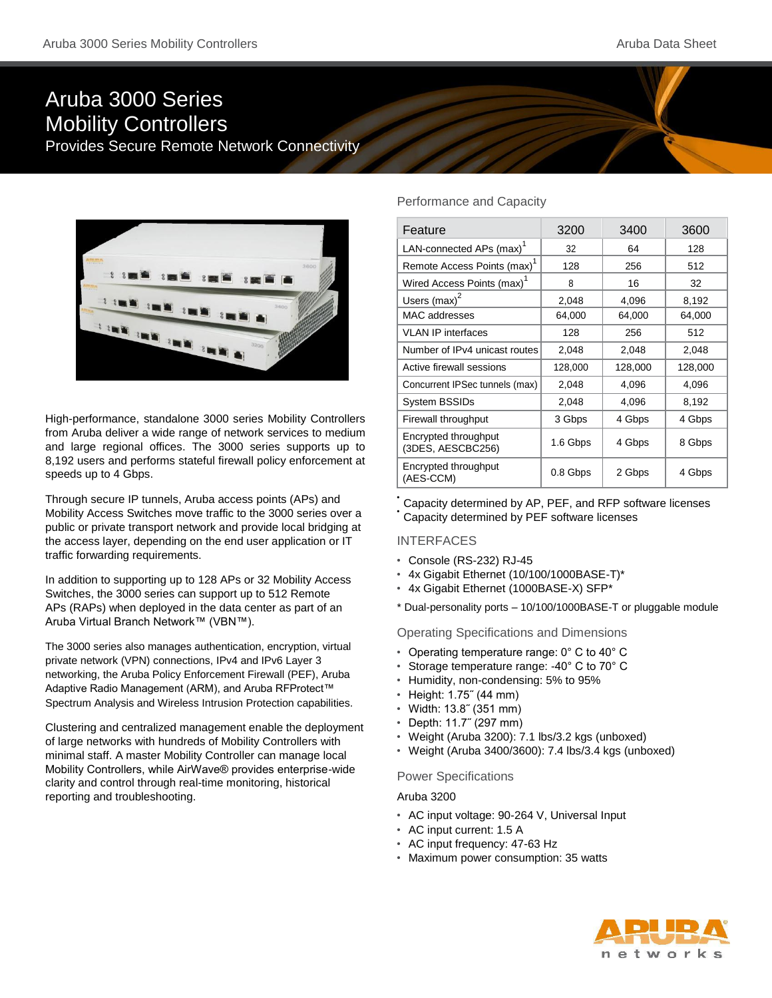## Aruba 3000 Series Mobility Controllers Provides Secure Remote Network Connectivity



High-performance, standalone 3000 series Mobility Controllers from Aruba deliver a wide range of network services to medium and large regional offices. The 3000 series supports up to 8,192 users and performs stateful firewall policy enforcement at speeds up to 4 Gbps.

Through secure IP tunnels, Aruba access points (APs) and Mobility Access Switches move traffic to the 3000 series over a public or private transport network and provide local bridging at the access layer, depending on the end user application or IT traffic forwarding requirements.

In addition to supporting up to 128 APs or 32 Mobility Access Switches, the 3000 series can support up to 512 Remote APs (RAPs) when deployed in the data center as part of an Aruba Virtual Branch Network™ (VBN™).

The 3000 series also manages authentication, encryption, virtual private network (VPN) connections, IPv4 and IPv6 Layer 3 networking, the Aruba Policy Enforcement Firewall (PEF), Aruba Adaptive Radio Management (ARM), and Aruba RFProtect™ Spectrum Analysis and Wireless Intrusion Protection capabilities.

Clustering and centralized management enable the deployment of large networks with hundreds of Mobility Controllers with minimal staff. A master Mobility Controller can manage local Mobility Controllers, while AirWave® provides enterprise-wide clarity and control through real-time monitoring, historical reporting and troubleshooting.

#### Performance and Capacity

| Feature                                   | 3200     | 3400    | 3600    |
|-------------------------------------------|----------|---------|---------|
| LAN-connected APs (max) <sup>1</sup>      | 32       | 64      | 128     |
| Remote Access Points (max) <sup>1</sup>   | 128      | 256     | 512     |
| Wired Access Points (max) <sup>1</sup>    | 8        | 16      | 32      |
| Users $(max)^2$                           | 2,048    | 4,096   | 8,192   |
| <b>MAC</b> addresses                      | 64,000   | 64,000  | 64,000  |
| <b>VLAN IP interfaces</b>                 | 128      | 256     | 512     |
| Number of IPv4 unicast routes             | 2,048    | 2,048   | 2,048   |
| Active firewall sessions                  | 128,000  | 128,000 | 128,000 |
| Concurrent IPSec tunnels (max)            | 2,048    | 4,096   | 4,096   |
| System BSSIDs                             | 2,048    | 4,096   | 8,192   |
| Firewall throughput                       | 3 Gbps   | 4 Gbps  | 4 Gbps  |
| Encrypted throughput<br>(3DES, AESCBC256) | 1.6 Gbps | 4 Gbps  | 8 Gbps  |
| Encrypted throughput<br>(AES-CCM)         | 0.8 Gbps | 2 Gbps  | 4 Gbps  |

• Capacity determined by AP, PEF, and RFP software licenses • Capacity determined by PEF software licenses

INTERFACES

- Console (RS-232) RJ-45
- 4x Gigabit Ethernet (10/100/1000BASE-T)\*
- 4x Gigabit Ethernet (1000BASE-X) SFP\*
- \* Dual-personality ports 10/100/1000BASE-T or pluggable module

Operating Specifications and Dimensions

- Operating temperature range: 0° C to 40° C
- Storage temperature range: -40° C to 70° C
- Humidity, non-condensing: 5% to 95%
- Height: 1.75˝ (44 mm)
- Width: 13.8˝ (351 mm)
- Depth: 11.7˝ (297 mm)
- Weight (Aruba 3200): 7.1 lbs/3.2 kgs (unboxed)
- Weight (Aruba 3400/3600): 7.4 lbs/3.4 kgs (unboxed)

#### Power Specifications

#### Aruba 3200

- AC input voltage: 90-264 V, Universal Input
- AC input current: 1.5 A
- AC input frequency: 47-63 Hz
- Maximum power consumption: 35 watts

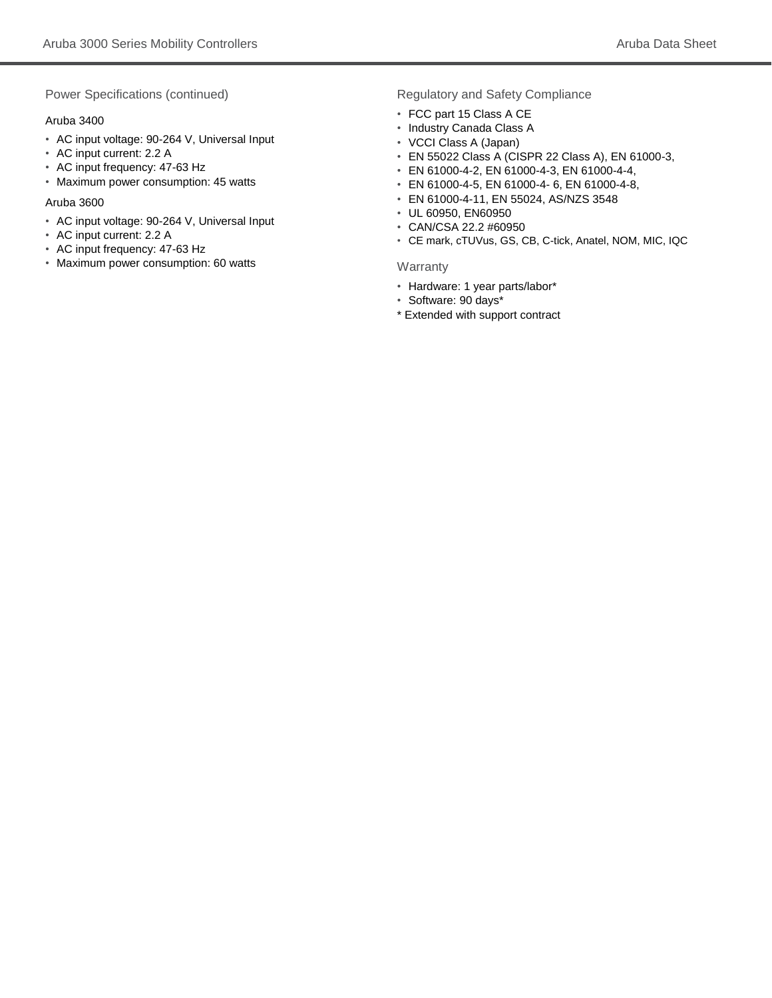Power Specifications (continued)

#### Aruba 3400

- AC input voltage: 90-264 V, Universal Input
- AC input current: 2.2 A
- AC input frequency: 47-63 Hz
- Maximum power consumption: 45 watts

#### Aruba 3600

- AC input voltage: 90-264 V, Universal Input
- AC input current: 2.2 A
- AC input frequency: 47-63 Hz
- Maximum power consumption: 60 watts

#### Regulatory and Safety Compliance

- FCC part 15 Class A CE
- Industry Canada Class A
- VCCI Class A (Japan)
- EN 55022 Class A (CISPR 22 Class A), EN 61000-3,
- EN 61000-4-2, EN 61000-4-3, EN 61000-4-4,
- EN 61000-4-5, EN 61000-4- 6, EN 61000-4-8,
- EN 61000-4-11, EN 55024, AS/NZS 3548
- UL 60950, EN60950
- CAN/CSA 22.2 #60950
- CE mark, cTUVus, GS, CB, C-tick, Anatel, NOM, MIC, IQC

#### **Warranty**

- Hardware: 1 year parts/labor\*
- Software: 90 days\*
- \* Extended with support contract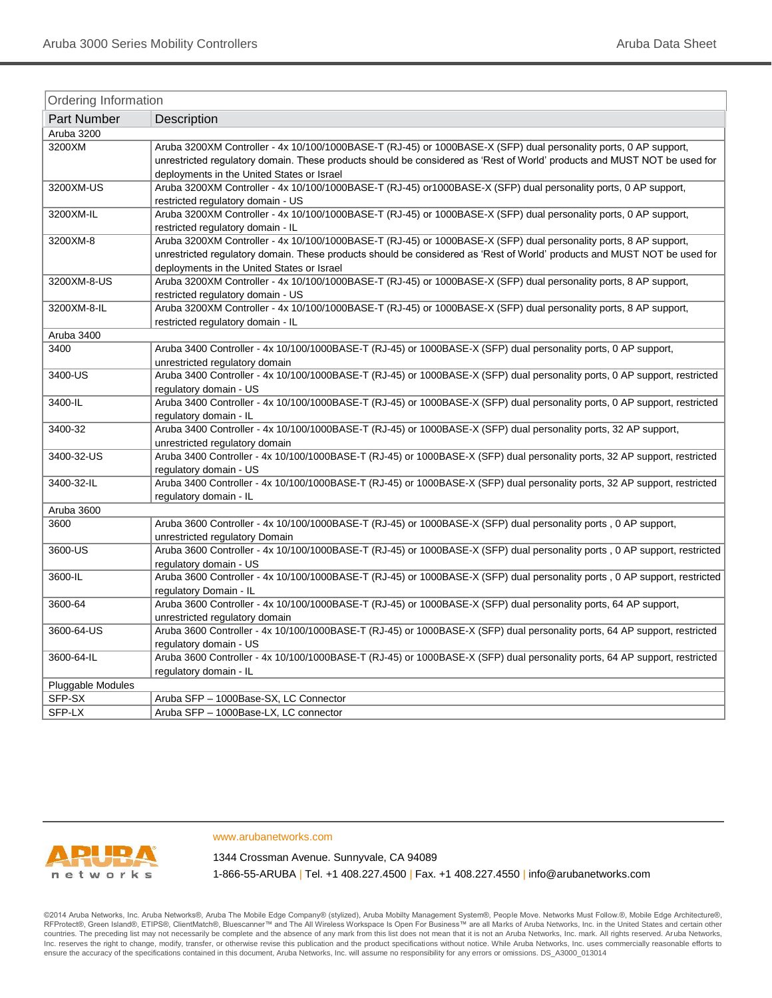| Ordering Information |                                                                                                                                                                                                                                                                                            |  |
|----------------------|--------------------------------------------------------------------------------------------------------------------------------------------------------------------------------------------------------------------------------------------------------------------------------------------|--|
| Part Number          | Description                                                                                                                                                                                                                                                                                |  |
| Aruba 3200           |                                                                                                                                                                                                                                                                                            |  |
| 3200XM               | Aruba 3200XM Controller - 4x 10/100/1000BASE-T (RJ-45) or 1000BASE-X (SFP) dual personality ports, 0 AP support,<br>unrestricted regulatory domain. These products should be considered as 'Rest of World' products and MUST NOT be used for<br>deployments in the United States or Israel |  |
| 3200XM-US            | Aruba 3200XM Controller - 4x 10/100/1000BASE-T (RJ-45) or1000BASE-X (SFP) dual personality ports, 0 AP support,<br>restricted regulatory domain - US                                                                                                                                       |  |
| 3200XM-IL            | Aruba 3200XM Controller - 4x 10/100/1000BASE-T (RJ-45) or 1000BASE-X (SFP) dual personality ports, 0 AP support,<br>restricted regulatory domain - IL                                                                                                                                      |  |
| 3200XM-8             | Aruba 3200XM Controller - 4x 10/100/1000BASE-T (RJ-45) or 1000BASE-X (SFP) dual personality ports, 8 AP support,<br>unrestricted regulatory domain. These products should be considered as 'Rest of World' products and MUST NOT be used for<br>deployments in the United States or Israel |  |
| 3200XM-8-US          | Aruba 3200XM Controller - 4x 10/100/1000BASE-T (RJ-45) or 1000BASE-X (SFP) dual personality ports, 8 AP support,<br>restricted regulatory domain - US                                                                                                                                      |  |
| 3200XM-8-IL          | Aruba 3200XM Controller - 4x 10/100/1000BASE-T (RJ-45) or 1000BASE-X (SFP) dual personality ports, 8 AP support,<br>restricted regulatory domain - IL                                                                                                                                      |  |
| Aruba 3400           |                                                                                                                                                                                                                                                                                            |  |
| 3400                 | Aruba 3400 Controller - 4x 10/100/1000BASE-T (RJ-45) or 1000BASE-X (SFP) dual personality ports, 0 AP support,<br>unrestricted regulatory domain                                                                                                                                           |  |
| 3400-US              | Aruba 3400 Controller - 4x 10/100/1000BASE-T (RJ-45) or 1000BASE-X (SFP) dual personality ports, 0 AP support, restricted<br>regulatory domain - US                                                                                                                                        |  |
| 3400-IL              | Aruba 3400 Controller - 4x 10/100/1000BASE-T (RJ-45) or 1000BASE-X (SFP) dual personality ports, 0 AP support, restricted<br>regulatory domain - IL                                                                                                                                        |  |
| 3400-32              | Aruba 3400 Controller - 4x 10/100/1000BASE-T (RJ-45) or 1000BASE-X (SFP) dual personality ports, 32 AP support,<br>unrestricted regulatory domain                                                                                                                                          |  |
| 3400-32-US           | Aruba 3400 Controller - 4x 10/100/1000BASE-T (RJ-45) or 1000BASE-X (SFP) dual personality ports, 32 AP support, restricted<br>regulatory domain - US                                                                                                                                       |  |
| 3400-32-IL           | Aruba 3400 Controller - 4x 10/100/1000BASE-T (RJ-45) or 1000BASE-X (SFP) dual personality ports, 32 AP support, restricted<br>regulatory domain - IL                                                                                                                                       |  |
| Aruba 3600           |                                                                                                                                                                                                                                                                                            |  |
| 3600                 | Aruba 3600 Controller - 4x 10/100/1000BASE-T (RJ-45) or 1000BASE-X (SFP) dual personality ports, 0 AP support,<br>unrestricted regulatory Domain                                                                                                                                           |  |
| 3600-US              | Aruba 3600 Controller - 4x 10/100/1000BASE-T (RJ-45) or 1000BASE-X (SFP) dual personality ports, 0 AP support, restricted<br>regulatory domain - US                                                                                                                                        |  |
| 3600-IL              | Aruba 3600 Controller - 4x 10/100/1000BASE-T (RJ-45) or 1000BASE-X (SFP) dual personality ports, 0 AP support, restricted<br>regulatory Domain - IL                                                                                                                                        |  |
| 3600-64              | Aruba 3600 Controller - 4x 10/100/1000BASE-T (RJ-45) or 1000BASE-X (SFP) dual personality ports, 64 AP support,<br>unrestricted regulatory domain                                                                                                                                          |  |
| 3600-64-US           | Aruba 3600 Controller - 4x 10/100/1000BASE-T (RJ-45) or 1000BASE-X (SFP) dual personality ports, 64 AP support, restricted<br>regulatory domain - US                                                                                                                                       |  |
| 3600-64-IL           | Aruba 3600 Controller - 4x 10/100/1000BASE-T (RJ-45) or 1000BASE-X (SFP) dual personality ports, 64 AP support, restricted<br>regulatory domain - IL                                                                                                                                       |  |
| Pluggable Modules    |                                                                                                                                                                                                                                                                                            |  |
| SFP-SX               | Aruba SFP - 1000Base-SX, LC Connector                                                                                                                                                                                                                                                      |  |
| SFP-LX               | Aruba SFP - 1000Base-LX, LC connector                                                                                                                                                                                                                                                      |  |



www.arubanetworks.com

1344 Crossman Avenue. Sunnyvale, CA 94089

1-866-55-ARUBA | Tel. +1 408.227.4500 | Fax. +1 408.227.4550 | info@arubanetworks.com

©2014 Aruba Networks, Inc. Aruba Networks®, Aruba The Mobile Edge Company® (stylized), Aruba Mobilty Management System®, People Move. Networks Must Follow.®, Mobile Edge Architecture®, RFProtect®, Green Island®, ETIPS®, ClientMatch®, Bluescanner™ and The All Wireless Workspace Is Open For Business™ are all Marks of Aruba Networks, Inc. in the United States and certain other countries. The preceding list may not necessarily be complete and the absence of any mark from this list does not mean that it is not an Aruba Networks, Inc. mark. All rights reserved. Aruba Networks, Inc. reserves the right to change, modify, transfer, or otherwise revise this publication and the product specifications without notice. While Aruba Networks, Inc. uses commercially reasonable efforts to ensure the accuracy of the specifications contained in this document, Aruba Networks, Inc. will assume no responsibility for any errors or omissions. DS\_A3000\_013014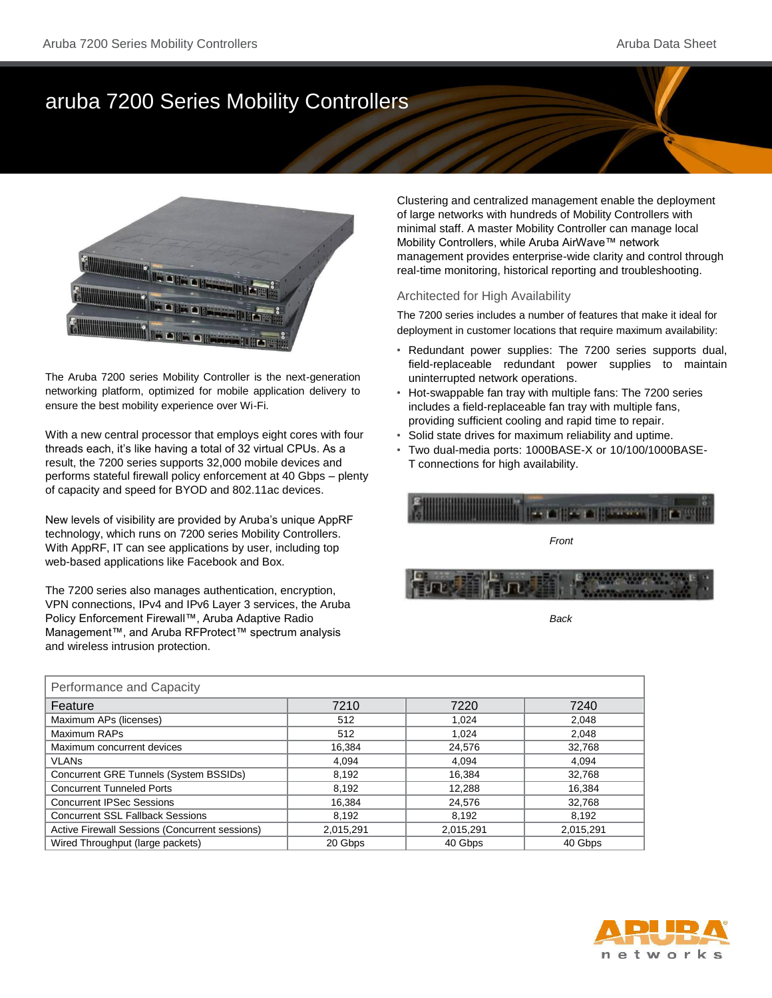# aruba 7200 Series Mobility Controllers



The Aruba 7200 series Mobility Controller is the next-generation networking platform, optimized for mobile application delivery to ensure the best mobility experience over Wi-Fi.

With a new central processor that employs eight cores with four threads each, it's like having a total of 32 virtual CPUs. As a result, the 7200 series supports 32,000 mobile devices and performs stateful firewall policy enforcement at 40 Gbps – plenty of capacity and speed for BYOD and 802.11ac devices.

New levels of visibility are provided by Aruba's unique AppRF technology, which runs on 7200 series Mobility Controllers. With AppRF, IT can see applications by user, including top web-based applications like Facebook and Box.

The 7200 series also manages authentication, encryption, VPN connections, IPv4 and IPv6 Layer 3 services, the Aruba Policy Enforcement Firewall™, Aruba Adaptive Radio Management™, and Aruba RFProtect™ spectrum analysis and wireless intrusion protection.

Clustering and centralized management enable the deployment of large networks with hundreds of Mobility Controllers with minimal staff. A master Mobility Controller can manage local Mobility Controllers, while Aruba AirWave™ network management provides enterprise-wide clarity and control through real-time monitoring, historical reporting and troubleshooting.

#### Architected for High Availability

The 7200 series includes a number of features that make it ideal for deployment in customer locations that require maximum availability:

- Redundant power supplies: The 7200 series supports dual, field-replaceable redundant power supplies to maintain uninterrupted network operations.
- Hot-swappable fan tray with multiple fans: The 7200 series includes a field-replaceable fan tray with multiple fans, providing sufficient cooling and rapid time to repair.
- Solid state drives for maximum reliability and uptime.
- Two dual-media ports: 1000BASE-X or 10/100/1000BASE-T connections for high availability.



*Back*

| Performance and Capacity                       |           |           |           |  |
|------------------------------------------------|-----------|-----------|-----------|--|
| Feature                                        | 7210      | 7220      | 7240      |  |
| Maximum APs (licenses)                         | 512       | 1.024     | 2.048     |  |
| Maximum RAPs                                   | 512       | 1.024     | 2,048     |  |
| Maximum concurrent devices                     | 16.384    | 24.576    | 32.768    |  |
| <b>VLAN<sub>s</sub></b>                        | 4.094     | 4.094     | 4.094     |  |
| Concurrent GRE Tunnels (System BSSIDs)         | 8.192     | 16.384    | 32.768    |  |
| <b>Concurrent Tunneled Ports</b>               | 8.192     | 12.288    | 16.384    |  |
| <b>Concurrent IPSec Sessions</b>               | 16.384    | 24,576    | 32.768    |  |
| <b>Concurrent SSL Fallback Sessions</b>        | 8.192     | 8.192     | 8.192     |  |
| Active Firewall Sessions (Concurrent sessions) | 2,015,291 | 2,015,291 | 2,015,291 |  |
| Wired Throughput (large packets)               | 20 Gbps   | 40 Gbps   | 40 Gbps   |  |

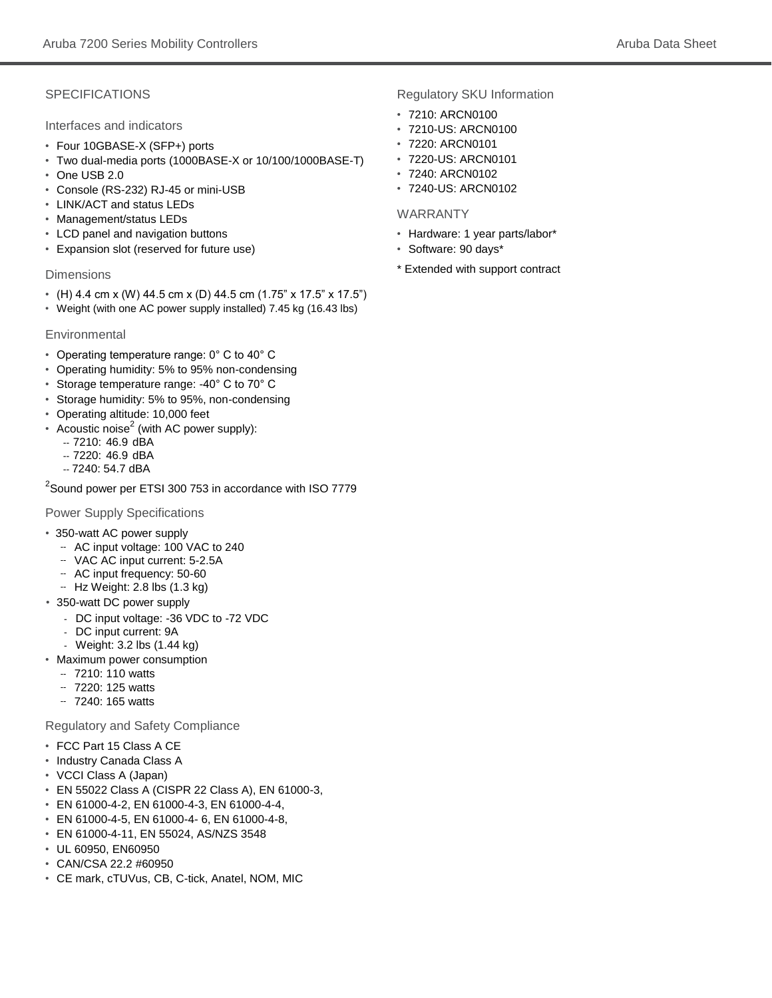### **SPECIFICATIONS**

Interfaces and indicators

- Four 10GBASE-X (SFP+) ports
- Two dual-media ports (1000BASE-X or 10/100/1000BASE-T)
- One USB 2.0
- Console (RS-232) RJ-45 or mini-USB
- LINK/ACT and status LEDs
- Management/status LEDs
- LCD panel and navigation buttons
- Expansion slot (reserved for future use)

#### **Dimensions**

- (H) 4.4 cm x (W) 44.5 cm x (D) 44.5 cm (1.75" x 17.5" x 17.5")
- Weight (with one AC power supply installed) 7.45 kg (16.43 lbs)

#### Environmental

- Operating temperature range: 0° C to 40° C
- Operating humidity: 5% to 95% non-condensing
- Storage temperature range: -40° C to 70° C
- Storage humidity: 5% to 95%, non-condensing
- Operating altitude: 10,000 feet
- $\bullet$  Acoustic noise<sup>2</sup> (with AC power supply):
	- -- 7210: 46.9 dBA
	- -- 7220: 46.9 dBA
	- -- 7240: 54.7 dBA

 $^2$ Sound power per ETSI 300 753 in accordance with ISO 7779

Power Supply Specifications

- 350-watt AC power supply
	- AC input voltage: 100 VAC to 240
	- VAC AC input current: 5-2.5A --
	- -- AC input frequency: 50-60
	- -- Hz Weight: 2.8 lbs (1.3 kg)
- 350-watt DC power supply
	- DC input voltage: -36 VDC to -72 VDC
	- DC input current: 9A
- Weight: 3.2 lbs (1.44 kg)
- Maximum power consumption
	- 7210: 110 watts --
	- 7220: 125 watts --
	- 7240: 165 watts --

Regulatory and Safety Compliance

- FCC Part 15 Class A CE
- Industry Canada Class A
- VCCI Class A (Japan)
- EN 55022 Class A (CISPR 22 Class A), EN 61000-3,
- EN 61000-4-2, EN 61000-4-3, EN 61000-4-4,
- EN 61000-4-5, EN 61000-4- 6, EN 61000-4-8,
- EN 61000-4-11, EN 55024, AS/NZS 3548
- UL 60950, EN60950
- CAN/CSA 22.2 #60950
- CE mark, cTUVus, CB, C-tick, Anatel, NOM, MIC

Regulatory SKU Information

- 7210: ARCN0100
- 7210-US: ARCN0100
- 7220: ARCN0101
- 7220-US: ARCN0101
- 7240: ARCN0102
- 7240-US: ARCN0102

#### WARRANTY

- Hardware: 1 year parts/labor\*
- Software: 90 days\*
- \* Extended with support contract